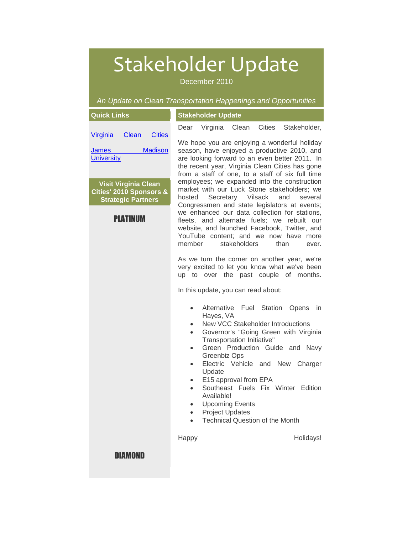# Stakeholder Update

December 2010

*An Update on Clean Transportation Happenings and Opportunities*

| <b>Quick Links</b>                                                                                         | <b>Stakeholder Update</b>                                                                                                                                                                                                                                                                                                                                                                                                                                                                                                                                                                                                                                                                                                                                                                                                                                                |  |  |
|------------------------------------------------------------------------------------------------------------|--------------------------------------------------------------------------------------------------------------------------------------------------------------------------------------------------------------------------------------------------------------------------------------------------------------------------------------------------------------------------------------------------------------------------------------------------------------------------------------------------------------------------------------------------------------------------------------------------------------------------------------------------------------------------------------------------------------------------------------------------------------------------------------------------------------------------------------------------------------------------|--|--|
| Clean<br><b>Cities</b><br>Virginia                                                                         | Virginia Clean<br>Cities Stakeholder,<br>Dear                                                                                                                                                                                                                                                                                                                                                                                                                                                                                                                                                                                                                                                                                                                                                                                                                            |  |  |
| <b>Madison</b><br><u>James</u><br><b>University</b>                                                        | We hope you are enjoying a wonderful holiday<br>season, have enjoyed a productive 2010, and<br>are looking forward to an even better 2011. In<br>the recent year, Virginia Clean Cities has gone<br>from a staff of one, to a staff of six full time<br>employees; we expanded into the construction<br>market with our Luck Stone stakeholders; we<br>Secretary Vilsack<br>hosted<br>and<br>several<br>Congressmen and state legislators at events;<br>we enhanced our data collection for stations,<br>fleets, and alternate fuels; we rebuilt our<br>website, and launched Facebook, Twitter, and<br>YouTube content; and we now have more<br>member<br>stakeholders<br>than<br>ever.<br>As we turn the corner on another year, we're<br>very excited to let you know what we've been<br>up to over the past couple of months.<br>In this update, you can read about: |  |  |
| <b>Visit Virginia Clean</b><br><b>Cities' 2010 Sponsors &amp;</b><br><b>Strategic Partners</b><br>PLATINUM |                                                                                                                                                                                                                                                                                                                                                                                                                                                                                                                                                                                                                                                                                                                                                                                                                                                                          |  |  |
|                                                                                                            |                                                                                                                                                                                                                                                                                                                                                                                                                                                                                                                                                                                                                                                                                                                                                                                                                                                                          |  |  |
|                                                                                                            | Alternative Fuel Station<br>Opens<br><i>in</i><br>$\bullet$<br>Hayes, VA<br>New VCC Stakeholder Introductions<br>$\bullet$<br>Governor's "Going Green with Virginia<br>$\bullet$<br>Transportation Initiative"<br>Green Production Guide and Navy<br>$\bullet$<br>Greenbiz Ops<br>Electric Vehicle and New<br>Charger<br>$\bullet$<br>Update<br>E15 approval from EPA<br>$\bullet$<br>Southeast Fuels Fix Winter Edition<br>$\bullet$<br>Available!<br><b>Upcoming Events</b><br>$\bullet$<br><b>Project Updates</b><br><b>Technical Question of the Month</b>                                                                                                                                                                                                                                                                                                           |  |  |
| <b>DIAMOND</b>                                                                                             | Holidays!<br>Happy                                                                                                                                                                                                                                                                                                                                                                                                                                                                                                                                                                                                                                                                                                                                                                                                                                                       |  |  |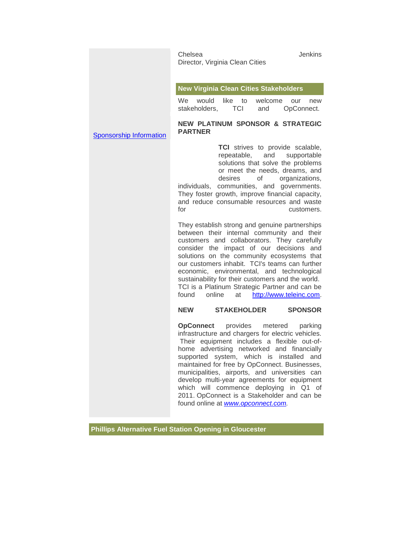|                                | Chelsea<br>Director, Virginia Clean Cities                                                                                                                                                                                                                                                                                                                                                                                                                                                                                | <b>Jenkins</b> |
|--------------------------------|---------------------------------------------------------------------------------------------------------------------------------------------------------------------------------------------------------------------------------------------------------------------------------------------------------------------------------------------------------------------------------------------------------------------------------------------------------------------------------------------------------------------------|----------------|
|                                | <b>New Virginia Clean Cities Stakeholders</b><br>like to<br>We.<br>would<br>welcome<br>our<br>TCI<br>stakeholders,<br>OpConnect.<br>and                                                                                                                                                                                                                                                                                                                                                                                   | new            |
| <b>Sponsorship Information</b> | <b>NEW PLATINUM SPONSOR &amp; STRATEGIC</b><br><b>PARTNER</b>                                                                                                                                                                                                                                                                                                                                                                                                                                                             |                |
|                                | <b>TCI</b> strives to provide scalable,<br>repeatable, and supportable<br>solutions that solve the problems<br>or meet the needs, dreams, and<br>desires<br>of<br>organizations,<br>communities, and governments.<br>individuals,<br>They foster growth, improve financial capacity,<br>and reduce consumable resources and waste<br>for                                                                                                                                                                                  | customers.     |
|                                | They establish strong and genuine partnerships<br>between their internal community and their<br>customers and collaborators. They carefully<br>consider the impact of our decisions and<br>solutions on the community ecosystems that<br>our customers inhabit. TCI's teams can further<br>economic, environmental, and technological<br>sustainability for their customers and the world.<br>TCI is a Platinum Strategic Partner and can be<br>found<br>online<br>http://www.teleinc.com.<br>at                          |                |
|                                | <b>STAKEHOLDER</b><br><b>NEW</b><br><b>SPONSOR</b>                                                                                                                                                                                                                                                                                                                                                                                                                                                                        |                |
|                                | provides<br><b>OpConnect</b><br>metered<br>infrastructure and chargers for electric vehicles.<br>Their equipment includes a flexible out-of-<br>home advertising networked and financially<br>system, which is<br>installed<br>supported<br>maintained for free by OpConnect. Businesses,<br>municipalities, airports, and universities can<br>develop multi-year agreements for equipment<br>which will commence deploying in Q1 of<br>2011. OpConnect is a Stakeholder and can be<br>found online at www.opconnect.com. | parking<br>and |

**Phillips Alternative Fuel Station Opening in Gloucester**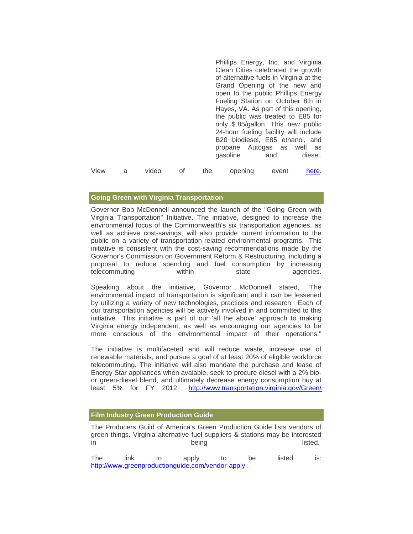[P](https://pod51004.outlook.com/owa/redir.aspx?C=5d734f545ccd41918942d4f004ace4eb&URL=http%3a%2f%2fwww.youtube.com%2fwatch%3fv%3djY4uO--O1w0)hillips Energy, Inc. and Virginia Clean Cities celebrated the growth of alternative fuels in Virginia at the Grand Opening of the new and open to the public Phillips Energy Fueling Station on October 8th in Hayes, VA. As part of this opening, the public was treated to E85 for only \$.85/gallon. This new public 24-hour fueling facility will include B20 biodiesel, E85 ethanol, and propane Autogas as well as gasoline and diesel. View a video of the opening event [here.](https://pod51004.outlook.com/owa/redir.aspx?C=5d734f545ccd41918942d4f004ace4eb&URL=http%3a%2f%2fr20.rs6.net%2ftn.jsp%3fllr%3dtdq8upcab%26et%3d1103945689445%26s%3d2932%26e%3d001Px50nTwu99LtfV4mTdxpsO6lQyUqqaBU2tRnfiiQwDsELk8h8PJL5tHrAfRAJ8215lGARiuE0pd8NZPun2oyrwSUM5Ha7V08QQVZ6myhPWm3TdYulLE8wRMprODiLe4S60c0hxePwq6LhnsQk4iQ6Q%3d%3d)

### **Going Green with Virginia Transportation**

Governor Bob McDonnell announced the launch of the "Going Green with Virginia Transportation" Initiative. The initiative, designed to increase the environmental focus of the Commonwealth's six transportation agencies, as well as achieve cost-savings, will also provide current information to the public on a variety of transportation-related environmental programs. This initiative is consistent with the cost-saving recommendations made by the Governor's Commission on Government Reform & Restructuring, including a proposal to reduce spending and fuel consumption by increasing telecommuting within state agencies.

Speaking about the initiative, Governor McDonnell stated, "The environmental impact of transportation is significant and it can be lessened by utilizing a variety of new technologies, practices and research. Each of our transportation agencies will be actively involved in and committed to this initiative. This initiative is part of our 'all the above' approach to making Virginia energy independent, as well as encouraging our agencies to be more conscious of the environmental impact of their operations."

The initiative is multifaceted and will reduce waste, increase use of renewable materials, and pursue a goal of at least 20% of eligible workforce telecommuting. The initiative will also mandate the purchase and lease of Energy Star appliances when avalable, seek to procure diesel with a 2% bioor green-diesel blend, and ultimately decrease energy consumption buy at least 5% for FY 2012. [http://www.transportation.virginia.gov/Green/](https://pod51004.outlook.com/owa/redir.aspx?C=5d734f545ccd41918942d4f004ace4eb&URL=http%3a%2f%2fr20.rs6.net%2ftn.jsp%3fllr%3dtdq8upcab%26et%3d1103945689445%26s%3d2932%26e%3d001Px50nTwu99KP8ar0P1sx1RbQE-FASous0-BUU3tkyus9jVCKhHMgklF6I0AQyUeRGThKicN4CGxblbsmHLAed8IWFuzA93Vsh96szw7xRkLvGAjiA56-l-YlqJanWQGObOJov6YL4VMl82xVQ-nAXw%3d%3d)

#### **Film Industry Green Production Guide**

The Producers Guild of America's Green Production Guide lists vendors of green things. Virginia alternative fuel suppliers & stations may be interested in being being being listed.

The link to apply to be listed is: [http://www.greenproductionguide.com/vendor-apply](https://pod51004.outlook.com/owa/redir.aspx?C=5d734f545ccd41918942d4f004ace4eb&URL=http%3a%2f%2fr20.rs6.net%2ftn.jsp%3fllr%3dtdq8upcab%26et%3d1103945689445%26s%3d2932%26e%3d001Px50nTwu99JsjVICEUhvOMAPgoOXhoCeu7bIzm31HJgg7yBaXhAab7xUmeie91SFtSHnegM01u69iVEjC6CDmdJM8kf6VHHPKG2oBFdnShbI9kaHlD70-G8bgqRCYYoYNYcqxZ_5-6HQlA4ecOeH2A%3d%3d) .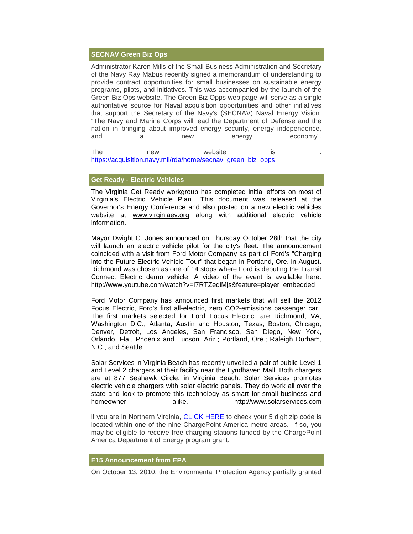#### **SECNAV Green Biz Ops**

Administrator Karen Mills of the Small Business Administration and Secretary of the Navy Ray Mabus recently signed a memorandum of understanding to provide contract opportunities for small businesses on sustainable energy programs, pilots, and initiatives. This was accompanied by the launch of the Green Biz Ops website. The Green Biz Opps web page will serve as a single authoritative source for Naval acquisition opportunities and other initiatives that support the Secretary of the Navy's (SECNAV) Naval Energy Vision: "The Navy and Marine Corps will lead the Department of Defense and the nation in bringing about improved energy security, energy independence, and a new energy economy".

The new website is [:](https://pod51004.outlook.com/owa/redir.aspx?C=5d734f545ccd41918942d4f004ace4eb&URL=http%3a%2f%2fr20.rs6.net%2ftn.jsp%3fllr%3dtdq8upcab%26et%3d1103945689445%26s%3d2932%26e%3d001Px50nTwu99IyDedwrp-I0N2DI_G7bVql0yFxdM3tqFhtbLfcn3PzV2OKYUEwQBnqa0VJg_47IVGU6O_O60wZwuf4igkQ2GfABBNByWRBCDosPcGRLAT3JmoLGfa9X-JFWhvBCOWjZZw7yHBuMAhY-bKmupADgBeDG_zKlTJwxus%3d) [https://acquisition.navy.mil/rda/home/secnav\\_green\\_biz\\_opps](https://pod51004.outlook.com/owa/redir.aspx?C=5d734f545ccd41918942d4f004ace4eb&URL=http%3a%2f%2fr20.rs6.net%2ftn.jsp%3fllr%3dtdq8upcab%26et%3d1103945689445%26s%3d2932%26e%3d001Px50nTwu99IyDedwrp-I0N2DI_G7bVql0yFxdM3tqFhtbLfcn3PzV2OKYUEwQBnqa0VJg_47IVGU6O_O60wZwuf4igkQ2GfABBNByWRBCDosPcGRLAT3JmoLGfa9X-JFWhvBCOWjZZw7yHBuMAhY-bKmupADgBeDG_zKlTJwxus%3d)

#### **Get Ready - Electric Vehicles**

The Virginia Get Ready workgroup has completed initial efforts on most of Virginia's Electric Vehicle Plan. This document was released at the Governor's Energy Conference and also posted on a new electric vehicles website at [www.virginiaev.org](https://pod51004.outlook.com/owa/redir.aspx?C=5d734f545ccd41918942d4f004ace4eb&URL=http%3a%2f%2fr20.rs6.net%2ftn.jsp%3fllr%3dtdq8upcab%26et%3d1103945689445%26s%3d2932%26e%3d001Px50nTwu99LvN6pbkeZQO2C55cnMf1vUVItaQjvzvR7XWSUi4V3U7FOoVNDKc7tK3bRURzyz7NZkuyWPWrGwjiIJqPBD31yfZwDTAWOH-BcILn5A13bOJQ%3d%3d) along with additional electric vehicle information.

Mayor Dwight C. Jones announced on Thursday October 28th that the city will launch an electric vehicle pilot for the city's fleet. The announcement coincided with a visit from Ford Motor Company as part of Ford's "Charging into the Future Electric Vehicle Tour" that began in Portland, Ore. in August. Richmond was chosen as one of 14 stops where Ford is debuting the Transit Connect Electric demo vehicle. A video of the event is available here: [http://www.youtube.com/watch?v=I7RTZeqiMjs&feature=player\\_embedded](https://pod51004.outlook.com/owa/redir.aspx?C=5d734f545ccd41918942d4f004ace4eb&URL=http%3a%2f%2fr20.rs6.net%2ftn.jsp%3fllr%3dtdq8upcab%26et%3d1103945689445%26s%3d2932%26e%3d001Px50nTwu99Kt5-pBw14Jx6sWy5Y2u9UTJjGBwb5nb3B7Y1t62U0v8N9K_8e-yN5zAaA6AoX9GjSVkjWFOCLxIJFS0ManUjqA_0ViPjzyv1ONSJ_4WmIJFOs4eeCGnW0_d2bivZ8CIf_Jzfs4Mdb8eocjAC-yZ-wC8Xzxo3BymRM8HT3sfTFcDw%3d%3d)

Ford Motor Company has announced first markets that will sell the 2012 Focus Electric, Ford's first all-electric, zero CO2-emissions passenger car. The first markets selected for Ford Focus Electric: are Richmond, VA, Washington D.C.; Atlanta, Austin and Houston, Texas; Boston, Chicago, Denver, Detroit, Los Angeles, San Francisco, San Diego, New York, Orlando, Fla., Phoenix and Tucson, Ariz.; Portland, Ore.; Raleigh Durham, N.C.; and Seattle.

Solar Services in Virginia Beach has recently unveiled a pair of public Level 1 and Level 2 chargers at their facility near the Lyndhaven Mall. Both chargers are at 877 Seahawk Circle, in Virginia Beach. Solar Services promotes electric vehicle chargers with solar electric panels. They do work all over the state and look to promote this technology as smart for small business and homeowner alike. http://www.solarservices.com

if you are in Northern Virginia, [CLICK HERE](https://pod51004.outlook.com/owa/redir.aspx?C=5d734f545ccd41918942d4f004ace4eb&URL=http%3a%2f%2fr20.rs6.net%2ftn.jsp%3fllr%3dtdq8upcab%26et%3d1103945689445%26s%3d2932%26e%3d001Px50nTwu99Id3cmyo6FpMPiX_yU600w5EwA8YWwt2Od0-yQN_RbM06Hlp6nKuElP__s2G0QyaX5DRi9TCpM6cRERcvFnAtYzDmxq7UIhvFyo-WkoPpHoDRtZc1YYP10KrDw9CPQgFwNQt_yE1l535A%3d%3d) to check your 5 digit zip code is located within one of the nine ChargePoint America metro areas. If so, you may be eligible to receive free charging stations funded by the ChargePoint America Department of Energy program grant.

#### **E15 Announcement from EPA**

On October 13, 2010, the Environmental Protection Agency partially granted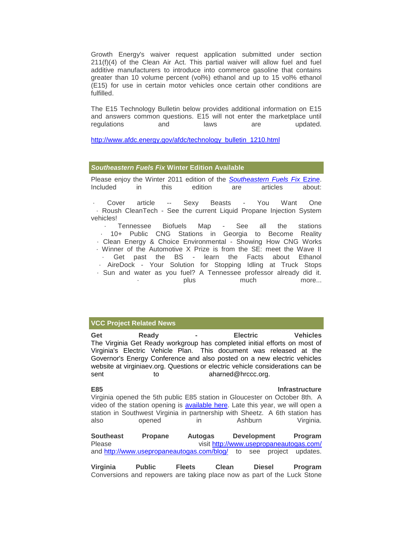Growth Energy's waiver request application submitted under section 211(f)(4) of the Clean Air Act. This partial waiver will allow fuel and fuel additive manufacturers to introduce into commerce gasoline that contains greater than 10 volume percent (vol%) ethanol and up to 15 vol% ethanol (E15) for use in certain motor vehicles once certain other conditions are fulfilled.

The E15 Technology Bulletin below provides additional information on E15 and answers common questions. E15 will not enter the marketplace until regulations and laws are updated.

[http://www.afdc.energy.gov/afdc/technology\\_bulletin\\_1210.html](https://pod51004.outlook.com/owa/redir.aspx?C=5d734f545ccd41918942d4f004ace4eb&URL=http%3a%2f%2fr20.rs6.net%2ftn.jsp%3fllr%3dtdq8upcab%26et%3d1103945689445%26s%3d2932%26e%3d001Px50nTwu99L3LGS2u-GYLMp31aldi_4Vx1uOL1Z1kloQEhbIfbtgWIUO8cyZbzipH0JEBmqwTn1VcRiQjDKV-cgJ3KObBvxrz4IzoenubgHuazwaru30ymyGz-8hyptVB01X6aM-qypCZjNuHh0jpDKUH2XlwqPp5ShYZGWshbo%3d)

#### *Southeastern Fuels Fix* **Winter Edition Available**

Please enjoy the Winter 2011 edition of the *[Southeastern Fuels Fix](https://pod51004.outlook.com/owa/redir.aspx?C=5d734f545ccd41918942d4f004ace4eb&URL=http%3a%2f%2fr20.rs6.net%2ftn.jsp%3fllr%3dtdq8upcab%26et%3d1103945689445%26s%3d2932%26e%3d001Px50nTwu99Knb4p32WExG1OGMc1YoHAXIwYuP9Tue5SZtAflYMo7UnmVbEEWjaY_OGOvSpXGE1RrpVtnCwRQaaEGq6GzwfhLDQWa4tYYhmpwG0PROcftiguqBSnK57aWwlcgVuh6-aZLN7mQXfu13A%3d%3d)* Ezine. Included in this edition are articles about:

· Cover article -- Sexy Beasts - You Want One · Roush CleanTech - See the current Liquid Propane Injection System vehicles!

· Tennessee Biofuels Map - See all the stations · 10+ Public CNG Stations in Georgia to Become Reality · Clean Energy & Choice Environmental - Showing How CNG Works · Winner of the Automotive X Prize is from the SE: meet the Wave II Get past the BS - learn the Facts about Ethanol · AireDock - Your Solution for Stopping Idling at Truck Stops

· Sun and water as you fuel? A Tennessee professor already did it. · plus much more...

#### **VCC Project Related News**

**Get Ready - Electric Vehicles** The Virginia Get Ready workgroup has completed initial efforts on most of Virginia's Electric Vehicle Plan. This document was released at the Governor's Energy Conference and also posted on a new electric vehicles website at virginiaev.org. Questions or electric vehicle considerations can be sent to to aharned@hrccc.org.

## **E85** Infrastructure

Virginia opened the 5th public E85 station in Gloucester on October 8th. A video of the station opening is [available here.](https://pod51004.outlook.com/owa/redir.aspx?C=5d734f545ccd41918942d4f004ace4eb&URL=http%3a%2f%2fr20.rs6.net%2ftn.jsp%3fllr%3dtdq8upcab%26et%3d1103945689445%26s%3d2932%26e%3d001Px50nTwu99LtfV4mTdxpsO6lQyUqqaBU2tRnfiiQwDsELk8h8PJL5tHrAfRAJ8215lGARiuE0pd8NZPun2oyrwSUM5Ha7V08QQVZ6myhPWm3TdYulLE8wRMprODiLe4S60c0hxePwq6LhnsQk4iQ6Q%3d%3d) Late this year, we will open a station in Southwest Virginia in partnership with Sheetz. A 6th station has also opened in Ashburn Virginia.

**Southeast Propane Autogas Development Program** Please visit [http://www.usepropaneautogas.com/](https://pod51004.outlook.com/owa/redir.aspx?C=5d734f545ccd41918942d4f004ace4eb&URL=http%3a%2f%2fr20.rs6.net%2ftn.jsp%3fllr%3dtdq8upcab%26et%3d1103945689445%26s%3d2932%26e%3d001Px50nTwu99JitnlkOAN3GO9W52H88RwGOThROvv3lwzFAhpjSxqLbJYy3crleFSwTTNWCF6-4O4J_c3RYZKLot9NNPNpL_tKCeLP1fl3td-tlQWptDTi8gFe6bqRclne) and [http://www.usepropaneautogas.com/blog/](https://pod51004.outlook.com/owa/redir.aspx?C=5d734f545ccd41918942d4f004ace4eb&URL=http%3a%2f%2fr20.rs6.net%2ftn.jsp%3fllr%3dtdq8upcab%26et%3d1103945689445%26s%3d2932%26e%3d001Px50nTwu99LarFI0YDmAM5zUl68_T9JIi4Pzf7Diviu53uuL2fZBaVoZM3my0eonEuLdYXQCtJeEgO88dET6FLANw7cc49v-ZuI4D5qnPhrdlm-XVc8QhQrpudyQP-fJBYfs7lX1uLc%3d) to see project updates.

**Virginia Public Fleets Clean Diesel Program** Conversions and repowers are taking place now as part of the Luck Stone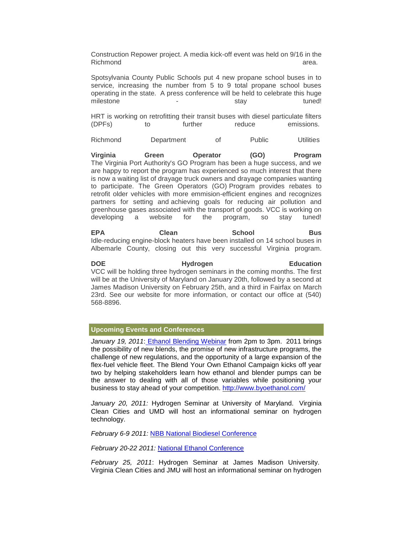Construction Repower project. A media kick-off event was held on 9/16 in the Richmond area. *area* 

Spotsylvania County Public Schools put 4 new propane school buses in to service, increasing the number from 5 to 9 total propane school buses operating in the state. A press conference will be held to celebrate this huge milestone - stay tuned!

HRT is working on retrofitting their transit buses with diesel particulate filters (DPFs) to further reduce emissions.

Richmond Department of Public Utilities

**Virginia Green Operator (GO) Program** The Virginia Port Authority's GO Program has been a huge success, and we are happy to report the program has experienced so much interest that there is now a waiting list of drayage truck owners and drayage companies wanting to participate. The Green Operators (GO) Program provides rebates to retrofit older vehicles with more emmision-efficient engines and recognizes partners for setting and achieving goals for reducing air pollution and greenhouse gases associated with the transport of goods. VCC is working on developing a website for the program, so stay tuned!

EPA Clean School Bus Idle-reducing engine-block heaters have been installed on 14 school buses in Albemarle County, closing out this very successful Virginia program.

**DOE** Hydrogen **Education** VCC will be holding three hydrogen seminars in the coming months. The first will be at the University of Maryland on January 20th, followed by a second at James Madison University on February 25th, and a third in Fairfax on March 23rd. See our website for more information, or contact our office at (540) 568-8896.

#### **Upcoming Events and Conferences**

*January 19, 2011*: [Ethanol Blending Webinar](https://pod51004.outlook.com/owa/redir.aspx?C=5d734f545ccd41918942d4f004ace4eb&URL=http%3a%2f%2fr20.rs6.net%2ftn.jsp%3fllr%3dtdq8upcab%26et%3d1103945689445%26s%3d2932%26e%3d001Px50nTwu99K9KIro1sLM8_-_4xWB47NPw50qpWsR7RhnG79yReGqm71cgwdBduEbeISopyV3kwpDRjWibCFLdQXKkaFYY7vj92ouMhE2xm3uTLegyRAhoq_fs7K4aSsfBIJywQ_RPfRrxPzUG5nWCa7N0DIRfI83) from 2pm to 3pm. 2011 brings the possibility of new blends, the promise of new infrastructure programs, the challenge of new regulations, and the opportunity of a large expansion of the flex-fuel vehicle fleet. The Blend Your Own Ethanol Campaign kicks off year two by helping stakeholders learn how ethanol and blender pumps can be the answer to dealing with all of those variables while positioning your business to stay ahead of your competition. [http://www.byoethanol.com/](https://pod51004.outlook.com/owa/redir.aspx?C=5d734f545ccd41918942d4f004ace4eb&URL=http%3a%2f%2fr20.rs6.net%2ftn.jsp%3fllr%3dtdq8upcab%26et%3d1103945689445%26s%3d2932%26e%3d001Px50nTwu99LgimhkIavzJhZHNX26UXw4iXs9x7cPEQiQ_U1vLiRRA0Jr3ZZeEsHQArbbO3DjIf5tvZSRt-HR3BMACkngOAFBcktGz_J_QyaxTFwIpRoL1g%3d%3d)

*January 20, 2011:* Hydrogen Seminar at University of Maryland. Virginia Clean Cities and UMD will host an informational seminar on hydrogen technology.

February 6-9 2011: [NBB National Biodiesel Conference](https://pod51004.outlook.com/owa/redir.aspx?C=5d734f545ccd41918942d4f004ace4eb&URL=http%3a%2f%2fr20.rs6.net%2ftn.jsp%3fllr%3dtdq8upcab%26et%3d1103945689445%26s%3d2932%26e%3d001Px50nTwu99Jk-99a9X5RlbcfAOQG5JbEJW8RX9KqkJoIJAksLj5hf0d_Q4StYqQpIbnAf2IC_yQuv6H5oFAdEbdgEdOSKNjsU7Z_iB6GqLaudGhwaPZQbXEKkpRHoEWybcV3BhOu-Bw%3d)

*February 20-22 2011:* [National Ethanol Conference](https://pod51004.outlook.com/owa/redir.aspx?C=5d734f545ccd41918942d4f004ace4eb&URL=http%3a%2f%2fr20.rs6.net%2ftn.jsp%3fllr%3dtdq8upcab%26et%3d1103945689445%26s%3d2932%26e%3d001Px50nTwu99LiZKF6R8uHteQYNNikTKUJqY453N6_ujKmH-qyd7WFVz-hQTsadWK0zr70iDzFQF9PfofRXLlEedp1KPVMTTPIq5bLrAE6_PNM2qvQl5gHXnO3YFfLJori)

*February 25, 2011*: Hydrogen Seminar at James Madison University. Virginia Clean Cities and JMU will host an informational seminar on hydrogen